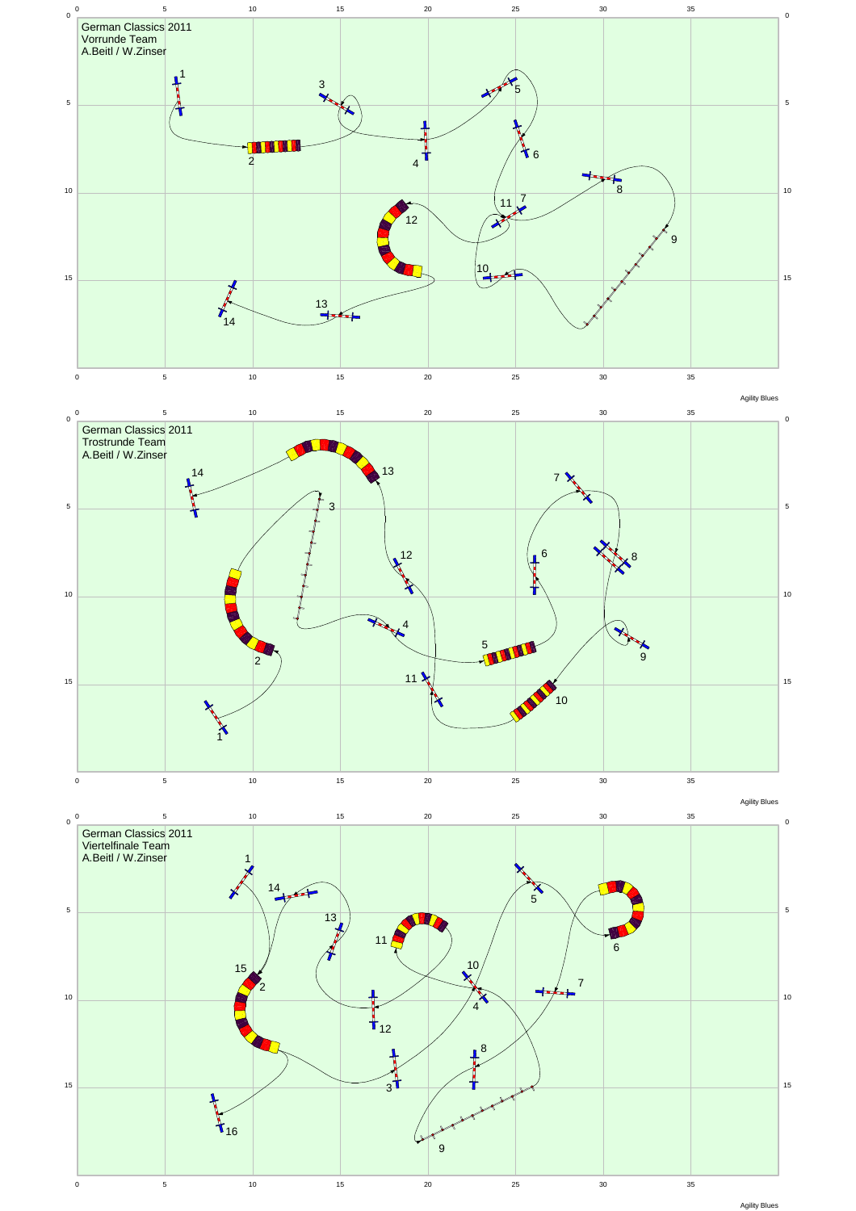

Agility Blues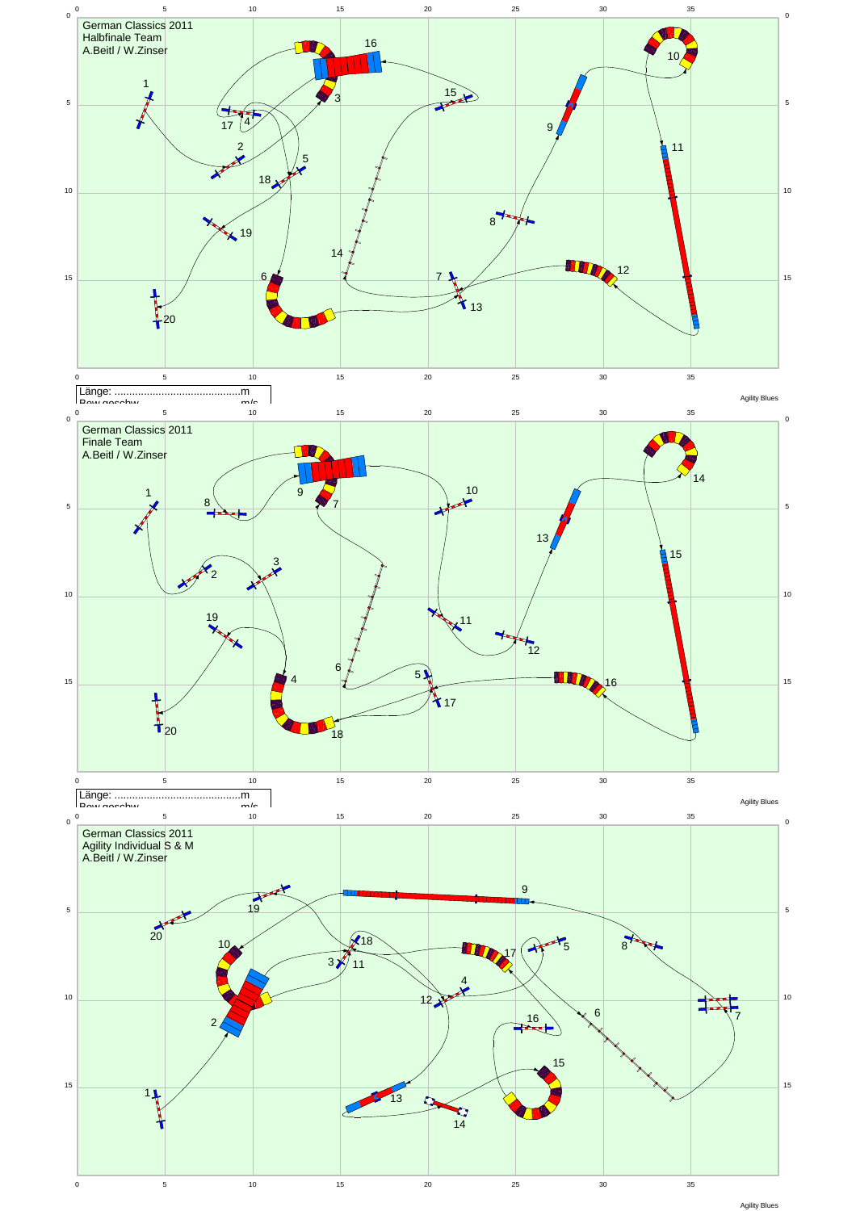

Agility Blues